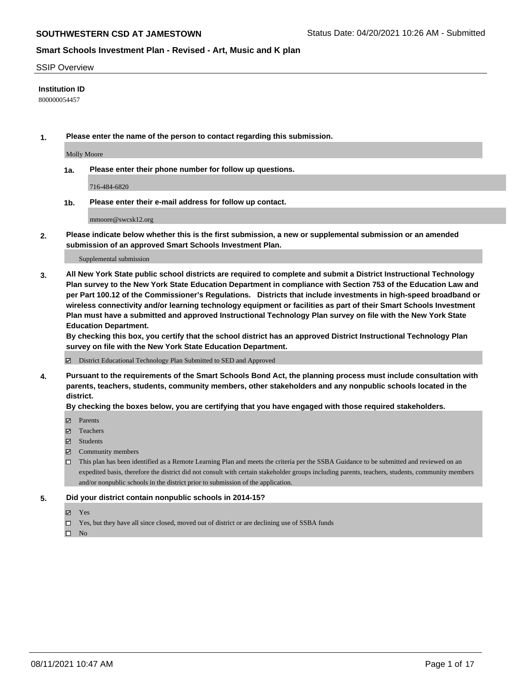#### SSIP Overview

#### **Institution ID**

800000054457

**1. Please enter the name of the person to contact regarding this submission.**

Molly Moore

**1a. Please enter their phone number for follow up questions.**

716-484-6820

**1b. Please enter their e-mail address for follow up contact.**

mmoore@swcsk12.org

**2. Please indicate below whether this is the first submission, a new or supplemental submission or an amended submission of an approved Smart Schools Investment Plan.**

#### Supplemental submission

**3. All New York State public school districts are required to complete and submit a District Instructional Technology Plan survey to the New York State Education Department in compliance with Section 753 of the Education Law and per Part 100.12 of the Commissioner's Regulations. Districts that include investments in high-speed broadband or wireless connectivity and/or learning technology equipment or facilities as part of their Smart Schools Investment Plan must have a submitted and approved Instructional Technology Plan survey on file with the New York State Education Department.** 

**By checking this box, you certify that the school district has an approved District Instructional Technology Plan survey on file with the New York State Education Department.**

District Educational Technology Plan Submitted to SED and Approved

**4. Pursuant to the requirements of the Smart Schools Bond Act, the planning process must include consultation with parents, teachers, students, community members, other stakeholders and any nonpublic schools located in the district.** 

#### **By checking the boxes below, you are certifying that you have engaged with those required stakeholders.**

- **Parents**
- Teachers
- Students
- $\boxtimes$  Community members
- This plan has been identified as a Remote Learning Plan and meets the criteria per the SSBA Guidance to be submitted and reviewed on an expedited basis, therefore the district did not consult with certain stakeholder groups including parents, teachers, students, community members and/or nonpublic schools in the district prior to submission of the application.
- **5. Did your district contain nonpublic schools in 2014-15?**
	- Yes
	- □ Yes, but they have all since closed, moved out of district or are declining use of SSBA funds

 $\Box$  No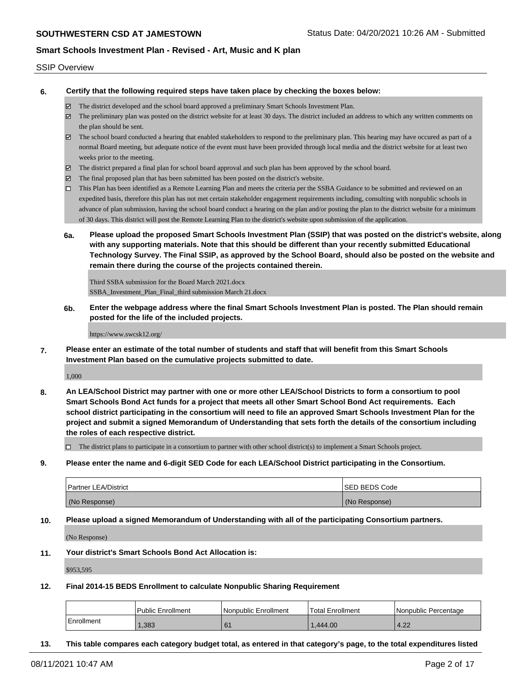#### SSIP Overview

**6. Certify that the following required steps have taken place by checking the boxes below:**

- The district developed and the school board approved a preliminary Smart Schools Investment Plan.
- The preliminary plan was posted on the district website for at least 30 days. The district included an address to which any written comments on the plan should be sent.
- $\boxtimes$  The school board conducted a hearing that enabled stakeholders to respond to the preliminary plan. This hearing may have occured as part of a normal Board meeting, but adequate notice of the event must have been provided through local media and the district website for at least two weeks prior to the meeting.
- The district prepared a final plan for school board approval and such plan has been approved by the school board.
- $\boxtimes$  The final proposed plan that has been submitted has been posted on the district's website.
- This Plan has been identified as a Remote Learning Plan and meets the criteria per the SSBA Guidance to be submitted and reviewed on an expedited basis, therefore this plan has not met certain stakeholder engagement requirements including, consulting with nonpublic schools in advance of plan submission, having the school board conduct a hearing on the plan and/or posting the plan to the district website for a minimum of 30 days. This district will post the Remote Learning Plan to the district's website upon submission of the application.
- **6a. Please upload the proposed Smart Schools Investment Plan (SSIP) that was posted on the district's website, along with any supporting materials. Note that this should be different than your recently submitted Educational Technology Survey. The Final SSIP, as approved by the School Board, should also be posted on the website and remain there during the course of the projects contained therein.**

Third SSBA submission for the Board March 2021.docx SSBA\_Investment\_Plan\_Final\_third submission March 21.docx

**6b. Enter the webpage address where the final Smart Schools Investment Plan is posted. The Plan should remain posted for the life of the included projects.**

https://www.swcsk12.org/

**7. Please enter an estimate of the total number of students and staff that will benefit from this Smart Schools Investment Plan based on the cumulative projects submitted to date.**

1,000

**8. An LEA/School District may partner with one or more other LEA/School Districts to form a consortium to pool Smart Schools Bond Act funds for a project that meets all other Smart School Bond Act requirements. Each school district participating in the consortium will need to file an approved Smart Schools Investment Plan for the project and submit a signed Memorandum of Understanding that sets forth the details of the consortium including the roles of each respective district.**

 $\Box$  The district plans to participate in a consortium to partner with other school district(s) to implement a Smart Schools project.

**9. Please enter the name and 6-digit SED Code for each LEA/School District participating in the Consortium.**

| <b>Partner LEA/District</b> | <b>ISED BEDS Code</b> |
|-----------------------------|-----------------------|
| (No Response)               | (No Response)         |

**10. Please upload a signed Memorandum of Understanding with all of the participating Consortium partners.**

(No Response)

**11. Your district's Smart Schools Bond Act Allocation is:**

\$953,595

**12. Final 2014-15 BEDS Enrollment to calculate Nonpublic Sharing Requirement**

|            | Public Enrollment | Nonpublic Enrollment | 'Total Enrollment | l Nonpublic Percentage |
|------------|-------------------|----------------------|-------------------|------------------------|
| Enrollment | ,383              |                      | 1.444.00          | 4.22                   |

**13. This table compares each category budget total, as entered in that category's page, to the total expenditures listed**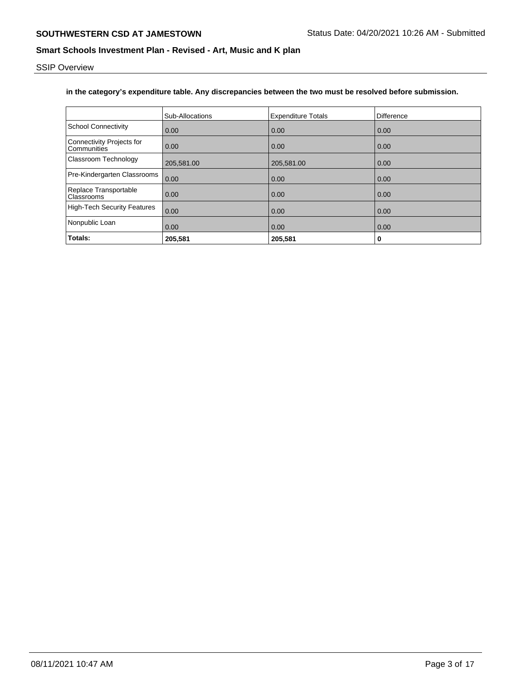SSIP Overview

## **in the category's expenditure table. Any discrepancies between the two must be resolved before submission.**

|                                                 | Sub-Allocations   | <b>Expenditure Totals</b> | Difference |
|-------------------------------------------------|-------------------|---------------------------|------------|
| <b>School Connectivity</b>                      | 0.00              | 0.00                      | 0.00       |
| <b>Connectivity Projects for</b><br>Communities | 0.00              | 0.00                      | 0.00       |
| <b>Classroom Technology</b>                     | 205,581.00        | 205,581.00                | 0.00       |
| Pre-Kindergarten Classrooms                     | $\overline{0.00}$ | 0.00                      | 0.00       |
| Replace Transportable<br><b>Classrooms</b>      | 0.00              | 0.00                      | 0.00       |
| High-Tech Security Features                     | $\overline{0.00}$ | 0.00                      | 0.00       |
| Nonpublic Loan                                  | $\overline{0.00}$ | 0.00                      | 0.00       |
| Totals:                                         | 205,581           | 205,581                   | 0          |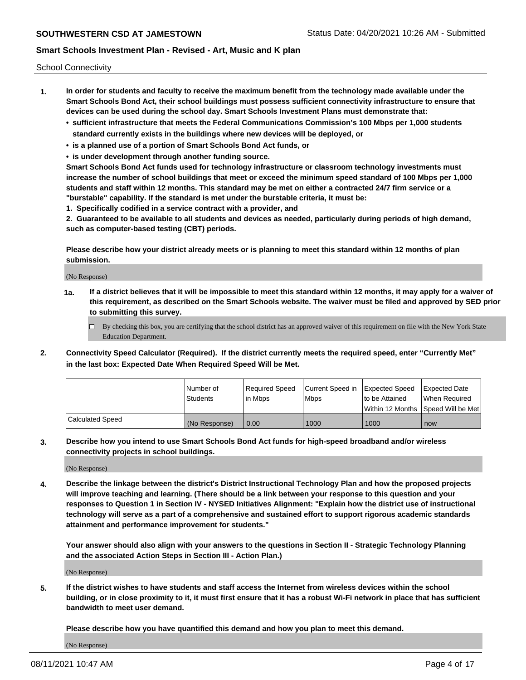School Connectivity

- **1. In order for students and faculty to receive the maximum benefit from the technology made available under the Smart Schools Bond Act, their school buildings must possess sufficient connectivity infrastructure to ensure that devices can be used during the school day. Smart Schools Investment Plans must demonstrate that:**
	- **• sufficient infrastructure that meets the Federal Communications Commission's 100 Mbps per 1,000 students standard currently exists in the buildings where new devices will be deployed, or**
	- **• is a planned use of a portion of Smart Schools Bond Act funds, or**
	- **• is under development through another funding source.**

**Smart Schools Bond Act funds used for technology infrastructure or classroom technology investments must increase the number of school buildings that meet or exceed the minimum speed standard of 100 Mbps per 1,000 students and staff within 12 months. This standard may be met on either a contracted 24/7 firm service or a "burstable" capability. If the standard is met under the burstable criteria, it must be:**

**1. Specifically codified in a service contract with a provider, and**

**2. Guaranteed to be available to all students and devices as needed, particularly during periods of high demand, such as computer-based testing (CBT) periods.**

**Please describe how your district already meets or is planning to meet this standard within 12 months of plan submission.**

(No Response)

**1a. If a district believes that it will be impossible to meet this standard within 12 months, it may apply for a waiver of this requirement, as described on the Smart Schools website. The waiver must be filed and approved by SED prior to submitting this survey.**

 $\Box$  By checking this box, you are certifying that the school district has an approved waiver of this requirement on file with the New York State Education Department.

**2. Connectivity Speed Calculator (Required). If the district currently meets the required speed, enter "Currently Met" in the last box: Expected Date When Required Speed Will be Met.**

|                  | l Number of   | Required Speed | Current Speed in | Expected Speed | Expected Date                        |
|------------------|---------------|----------------|------------------|----------------|--------------------------------------|
|                  | Students      | In Mbps        | <b>Mbps</b>      | to be Attained | When Required                        |
|                  |               |                |                  |                | Within 12 Months 1Speed Will be Met1 |
| Calculated Speed | (No Response) | 0.00           | 1000             | 1000           | now                                  |

**3. Describe how you intend to use Smart Schools Bond Act funds for high-speed broadband and/or wireless connectivity projects in school buildings.**

(No Response)

**4. Describe the linkage between the district's District Instructional Technology Plan and how the proposed projects will improve teaching and learning. (There should be a link between your response to this question and your responses to Question 1 in Section IV - NYSED Initiatives Alignment: "Explain how the district use of instructional technology will serve as a part of a comprehensive and sustained effort to support rigorous academic standards attainment and performance improvement for students."** 

**Your answer should also align with your answers to the questions in Section II - Strategic Technology Planning and the associated Action Steps in Section III - Action Plan.)**

(No Response)

**5. If the district wishes to have students and staff access the Internet from wireless devices within the school building, or in close proximity to it, it must first ensure that it has a robust Wi-Fi network in place that has sufficient bandwidth to meet user demand.**

**Please describe how you have quantified this demand and how you plan to meet this demand.**

(No Response)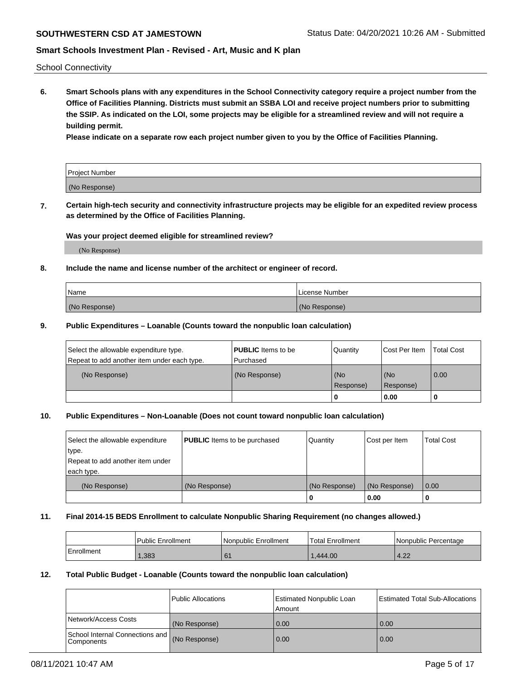School Connectivity

**6. Smart Schools plans with any expenditures in the School Connectivity category require a project number from the Office of Facilities Planning. Districts must submit an SSBA LOI and receive project numbers prior to submitting the SSIP. As indicated on the LOI, some projects may be eligible for a streamlined review and will not require a building permit.**

**Please indicate on a separate row each project number given to you by the Office of Facilities Planning.**

| Project Number |  |
|----------------|--|
| (No Response)  |  |

**7. Certain high-tech security and connectivity infrastructure projects may be eligible for an expedited review process as determined by the Office of Facilities Planning.**

#### **Was your project deemed eligible for streamlined review?**

(No Response)

### **8. Include the name and license number of the architect or engineer of record.**

| Name          | License Number |
|---------------|----------------|
| (No Response) | (No Response)  |

#### **9. Public Expenditures – Loanable (Counts toward the nonpublic loan calculation)**

| Select the allowable expenditure type.<br>Repeat to add another item under each type. | <b>PUBLIC</b> Items to be<br>l Purchased | Quantity           | Cost Per Item    | <b>Total Cost</b> |
|---------------------------------------------------------------------------------------|------------------------------------------|--------------------|------------------|-------------------|
| (No Response)                                                                         | (No Response)                            | l (No<br>Response) | (No<br>Response) | $\overline{0.00}$ |
|                                                                                       |                                          | 0                  | 0.00             |                   |

## **10. Public Expenditures – Non-Loanable (Does not count toward nonpublic loan calculation)**

| Select the allowable expenditure<br>type.<br>Repeat to add another item under<br>each type. | <b>PUBLIC</b> Items to be purchased | Quantity      | Cost per Item | <b>Total Cost</b> |
|---------------------------------------------------------------------------------------------|-------------------------------------|---------------|---------------|-------------------|
| (No Response)                                                                               | (No Response)                       | (No Response) | (No Response) | 0.00              |
|                                                                                             |                                     |               | 0.00          |                   |

#### **11. Final 2014-15 BEDS Enrollment to calculate Nonpublic Sharing Requirement (no changes allowed.)**

|            | Public Enrollment | l Nonpublic Enrollment | <b>Total Enrollment</b> | Nonpublic Percentage |
|------------|-------------------|------------------------|-------------------------|----------------------|
| Enrollment | ,383              | 61                     | 0.444.00                | $\sim$<br>$-4.24$    |

### **12. Total Public Budget - Loanable (Counts toward the nonpublic loan calculation)**

|                                                 | Public Allocations | Estimated Nonpublic Loan<br>Amount | <b>Estimated Total Sub-Allocations</b> |
|-------------------------------------------------|--------------------|------------------------------------|----------------------------------------|
| Network/Access Costs                            | (No Response)      | 0.00                               | 0.00                                   |
| School Internal Connections and<br>l Components | (No Response)      | 0.00                               | 0.00                                   |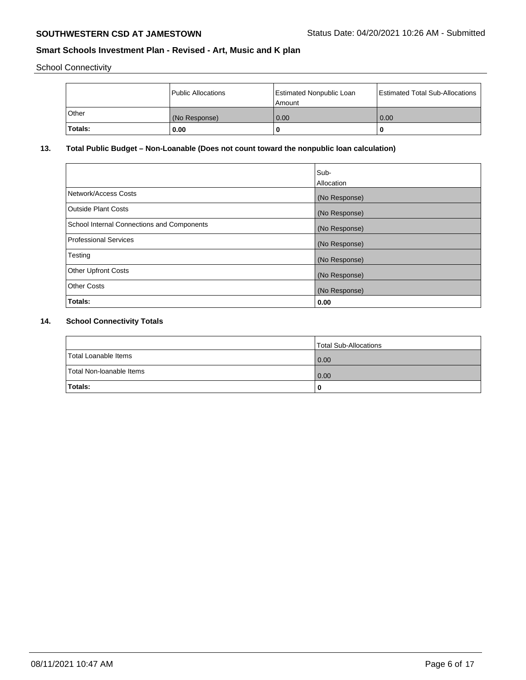School Connectivity

|              | Public Allocations | Estimated Nonpublic Loan<br>l Amount | <b>Estimated Total Sub-Allocations</b> |
|--------------|--------------------|--------------------------------------|----------------------------------------|
| <b>Other</b> | (No Response)      | 0.00                                 | 0.00                                   |
| Totals:      | 0.00               | 0                                    |                                        |

## **13. Total Public Budget – Non-Loanable (Does not count toward the nonpublic loan calculation)**

| Sub-<br>Allocation |
|--------------------|
| (No Response)      |
| (No Response)      |
| (No Response)      |
| (No Response)      |
| (No Response)      |
| (No Response)      |
| (No Response)      |
| 0.00               |
|                    |

# **14. School Connectivity Totals**

|                          | Total Sub-Allocations |
|--------------------------|-----------------------|
| Total Loanable Items     | 0.00                  |
| Total Non-Ioanable Items | 0.00                  |
| Totals:                  |                       |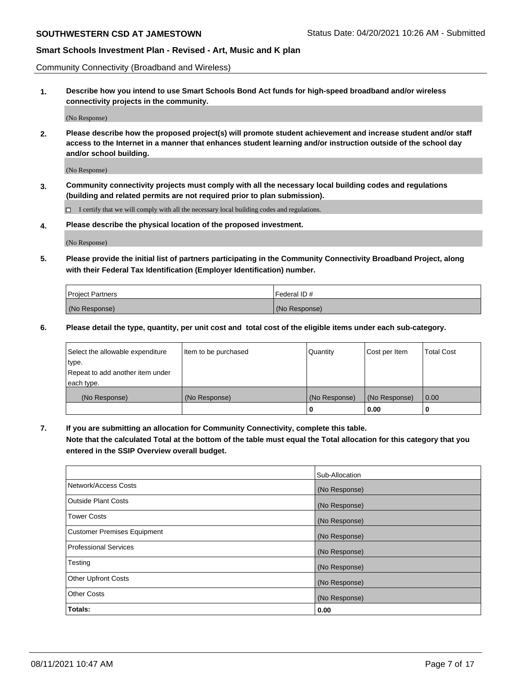Community Connectivity (Broadband and Wireless)

**1. Describe how you intend to use Smart Schools Bond Act funds for high-speed broadband and/or wireless connectivity projects in the community.**

(No Response)

**2. Please describe how the proposed project(s) will promote student achievement and increase student and/or staff access to the Internet in a manner that enhances student learning and/or instruction outside of the school day and/or school building.**

(No Response)

**3. Community connectivity projects must comply with all the necessary local building codes and regulations (building and related permits are not required prior to plan submission).**

 $\Box$  I certify that we will comply with all the necessary local building codes and regulations.

**4. Please describe the physical location of the proposed investment.**

(No Response)

**5. Please provide the initial list of partners participating in the Community Connectivity Broadband Project, along with their Federal Tax Identification (Employer Identification) number.**

| <b>Project Partners</b> | l Federal ID # |
|-------------------------|----------------|
| (No Response)           | (No Response)  |

**6. Please detail the type, quantity, per unit cost and total cost of the eligible items under each sub-category.**

| Select the allowable expenditure | Item to be purchased | Quantity      | Cost per Item | <b>Total Cost</b> |
|----------------------------------|----------------------|---------------|---------------|-------------------|
| type.                            |                      |               |               |                   |
| Repeat to add another item under |                      |               |               |                   |
| each type.                       |                      |               |               |                   |
| (No Response)                    | (No Response)        | (No Response) | (No Response) | 0.00              |
|                                  |                      | o             | 0.00          |                   |

**7. If you are submitting an allocation for Community Connectivity, complete this table.**

**Note that the calculated Total at the bottom of the table must equal the Total allocation for this category that you entered in the SSIP Overview overall budget.**

|                                    | Sub-Allocation |
|------------------------------------|----------------|
| Network/Access Costs               | (No Response)  |
| Outside Plant Costs                | (No Response)  |
| <b>Tower Costs</b>                 | (No Response)  |
| <b>Customer Premises Equipment</b> | (No Response)  |
| <b>Professional Services</b>       | (No Response)  |
| Testing                            | (No Response)  |
| <b>Other Upfront Costs</b>         | (No Response)  |
| <b>Other Costs</b>                 | (No Response)  |
| Totals:                            | 0.00           |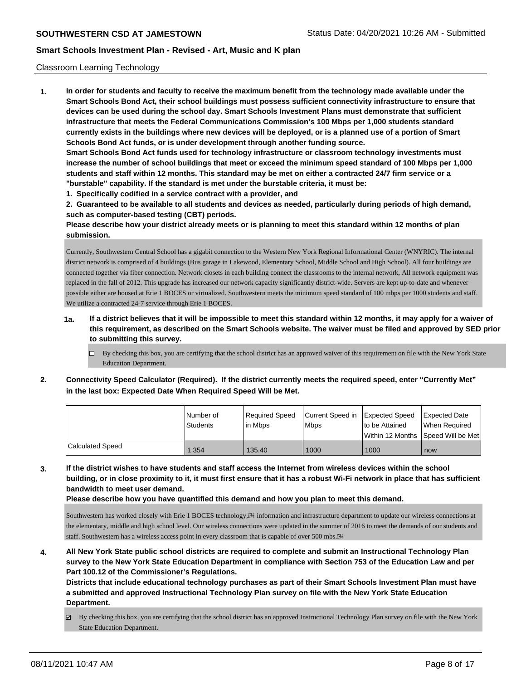#### Classroom Learning Technology

**1. In order for students and faculty to receive the maximum benefit from the technology made available under the Smart Schools Bond Act, their school buildings must possess sufficient connectivity infrastructure to ensure that devices can be used during the school day. Smart Schools Investment Plans must demonstrate that sufficient infrastructure that meets the Federal Communications Commission's 100 Mbps per 1,000 students standard currently exists in the buildings where new devices will be deployed, or is a planned use of a portion of Smart Schools Bond Act funds, or is under development through another funding source. Smart Schools Bond Act funds used for technology infrastructure or classroom technology investments must increase the number of school buildings that meet or exceed the minimum speed standard of 100 Mbps per 1,000 students and staff within 12 months. This standard may be met on either a contracted 24/7 firm service or a "burstable" capability. If the standard is met under the burstable criteria, it must be:**

**1. Specifically codified in a service contract with a provider, and**

**2. Guaranteed to be available to all students and devices as needed, particularly during periods of high demand, such as computer-based testing (CBT) periods.**

**Please describe how your district already meets or is planning to meet this standard within 12 months of plan submission.**

Currently, Southwestern Central School has a gigabit connection to the Western New York Regional Informational Center (WNYRIC). The internal district network is comprised of 4 buildings (Bus garage in Lakewood, Elementary School, Middle School and High School). All four buildings are connected together via fiber connection. Network closets in each building connect the classrooms to the internal network, All network equipment was replaced in the fall of 2012. This upgrade has increased our network capacity significantly district-wide. Servers are kept up-to-date and whenever possible either are housed at Erie 1 BOCES or virtualized. Southwestern meets the minimum speed standard of 100 mbps per 1000 students and staff. We utilize a contracted 24-7 service through Erie 1 BOCES.

- **1a. If a district believes that it will be impossible to meet this standard within 12 months, it may apply for a waiver of this requirement, as described on the Smart Schools website. The waiver must be filed and approved by SED prior to submitting this survey.**
	- $\Box$  By checking this box, you are certifying that the school district has an approved waiver of this requirement on file with the New York State Education Department.
- **2. Connectivity Speed Calculator (Required). If the district currently meets the required speed, enter "Currently Met" in the last box: Expected Date When Required Speed Will be Met.**

|                         | l Number of<br>Students | Reauired Speed<br>l in Mbps | Current Speed in Expected Speed<br><b>Mbps</b> | Ito be Attained                     | <b>Expected Date</b><br>When Reauired |
|-------------------------|-------------------------|-----------------------------|------------------------------------------------|-------------------------------------|---------------------------------------|
|                         |                         |                             |                                                | Within 12 Months 1Speed Will be Met |                                       |
| <b>Calculated Speed</b> | 1.354                   | 135.40                      | 1000                                           | 1000                                | now                                   |

**3. If the district wishes to have students and staff access the Internet from wireless devices within the school building, or in close proximity to it, it must first ensure that it has a robust Wi-Fi network in place that has sufficient bandwidth to meet user demand.**

**Please describe how you have quantified this demand and how you plan to meet this demand.**

Southwestern has worked closely with Erie 1 BOCES technology, i<sup>3</sup>/4 information and infrastructure department to update our wireless connections at the elementary, middle and high school level. Our wireless connections were updated in the summer of 2016 to meet the demands of our students and staff. Southwestern has a wireless access point in every classroom that is capable of over 500 mbs.ï¾

**4. All New York State public school districts are required to complete and submit an Instructional Technology Plan survey to the New York State Education Department in compliance with Section 753 of the Education Law and per Part 100.12 of the Commissioner's Regulations.**

**Districts that include educational technology purchases as part of their Smart Schools Investment Plan must have a submitted and approved Instructional Technology Plan survey on file with the New York State Education Department.**

By checking this box, you are certifying that the school district has an approved Instructional Technology Plan survey on file with the New York State Education Department.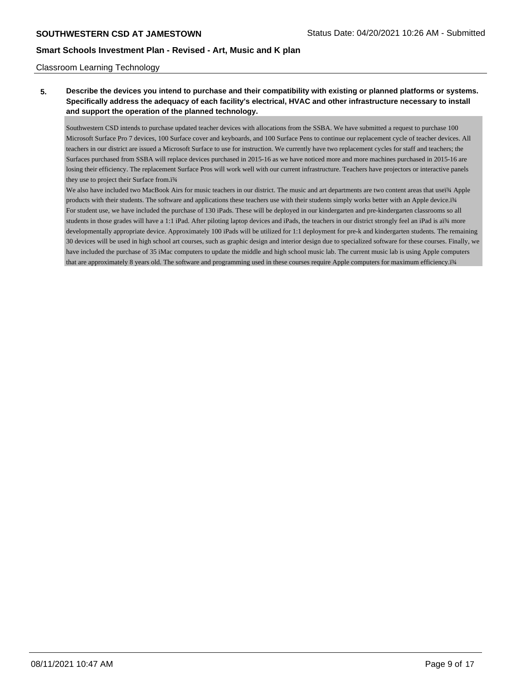#### Classroom Learning Technology

## **5. Describe the devices you intend to purchase and their compatibility with existing or planned platforms or systems. Specifically address the adequacy of each facility's electrical, HVAC and other infrastructure necessary to install and support the operation of the planned technology.**

Southwestern CSD intends to purchase updated teacher devices with allocations from the SSBA. We have submitted a request to purchase 100 Microsoft Surface Pro 7 devices, 100 Surface cover and keyboards, and 100 Surface Pens to continue our replacement cycle of teacher devices. All teachers in our district are issued a Microsoft Surface to use for instruction. We currently have two replacement cycles for staff and teachers; the Surfaces purchased from SSBA will replace devices purchased in 2015-16 as we have noticed more and more machines purchased in 2015-16 are losing their efficiency. The replacement Surface Pros will work well with our current infrastructure. Teachers have projectors or interactive panels they use to project their Surface from.ï¾

We also have included two MacBook Airs for music teachers in our district. The music and art departments are two content areas that useï¾ Apple products with their students. The software and applications these teachers use with their students simply works better with an Apple device.ï¾ For student use, we have included the purchase of 130 iPads. These will be deployed in our kindergarten and pre-kindergarten classrooms so all students in those grades will have a 1:1 iPad. After piloting laptop devices and iPads, the teachers in our district strongly feel an iPad is aï¾ more developmentally appropriate device. Approximately 100 iPads will be utilized for 1:1 deployment for pre-k and kindergarten students. The remaining 30 devices will be used in high school art courses, such as graphic design and interior design due to specialized software for these courses. Finally, we have included the purchase of 35 iMac computers to update the middle and high school music lab. The current music lab is using Apple computers that are approximately 8 years old. The software and programming used in these courses require Apple computers for maximum efficiency.ï¾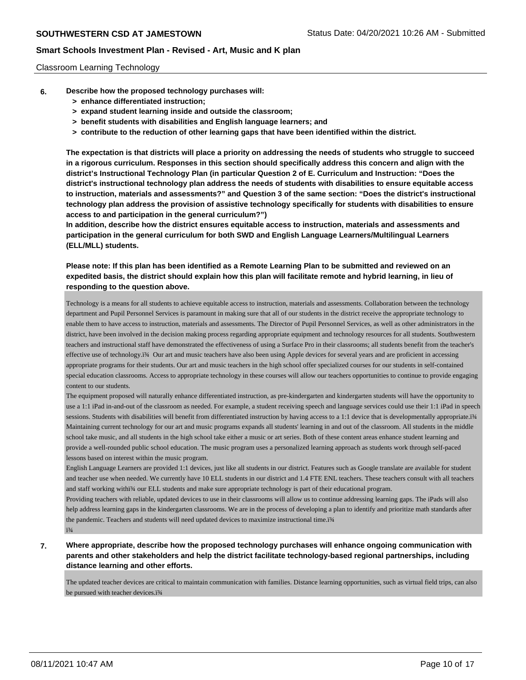#### Classroom Learning Technology

- **6. Describe how the proposed technology purchases will:**
	- **> enhance differentiated instruction;**
	- **> expand student learning inside and outside the classroom;**
	- **> benefit students with disabilities and English language learners; and**
	- **> contribute to the reduction of other learning gaps that have been identified within the district.**

**The expectation is that districts will place a priority on addressing the needs of students who struggle to succeed in a rigorous curriculum. Responses in this section should specifically address this concern and align with the district's Instructional Technology Plan (in particular Question 2 of E. Curriculum and Instruction: "Does the district's instructional technology plan address the needs of students with disabilities to ensure equitable access to instruction, materials and assessments?" and Question 3 of the same section: "Does the district's instructional technology plan address the provision of assistive technology specifically for students with disabilities to ensure access to and participation in the general curriculum?")**

**In addition, describe how the district ensures equitable access to instruction, materials and assessments and participation in the general curriculum for both SWD and English Language Learners/Multilingual Learners (ELL/MLL) students.**

**Please note: If this plan has been identified as a Remote Learning Plan to be submitted and reviewed on an expedited basis, the district should explain how this plan will facilitate remote and hybrid learning, in lieu of responding to the question above.**

Technology is a means for all students to achieve equitable access to instruction, materials and assessments. Collaboration between the technology department and Pupil Personnel Services is paramount in making sure that all of our students in the district receive the appropriate technology to enable them to have access to instruction, materials and assessments. The Director of Pupil Personnel Services, as well as other administrators in the district, have been involved in the decision making process regarding appropriate equipment and technology resources for all students. Southwestern teachers and instructional staff have demonstrated the effectiveness of using a Surface Pro in their classrooms; all students benefit from the teacher's effective use of technology.ï¾ Our art and music teachers have also been using Apple devices for several years and are proficient in accessing appropriate programs for their students. Our art and music teachers in the high school offer specialized courses for our students in self-contained special education classrooms. Access to appropriate technology in these courses will allow our teachers opportunities to continue to provide engaging content to our students.

The equipment proposed will naturally enhance differentiated instruction, as pre-kindergarten and kindergarten students will have the opportunity to use a 1:1 iPad in-and-out of the classroom as needed. For example, a student receiving speech and language services could use their 1:1 iPad in speech sessions. Students with disabilities will benefit from differentiated instruction by having access to a 1:1 device that is developmentally appropriate.i¾ Maintaining current technology for our art and music programs expands all students' learning in and out of the classroom. All students in the middle school take music, and all students in the high school take either a music or art series. Both of these content areas enhance student learning and provide a well-rounded public school education. The music program uses a personalized learning approach as students work through self-paced lessons based on interest within the music program.

English Language Learners are provided 1:1 devices, just like all students in our district. Features such as Google translate are available for student and teacher use when needed. We currently have 10 ELL students in our district and 1.4 FTE ENL teachers. These teachers consult with all teachers and staff working withi<sup>3</sup>⁄4 our ELL students and make sure appropriate technology is part of their educational program.

Providing teachers with reliable, updated devices to use in their classrooms will allow us to continue addressing learning gaps. The iPads will also help address learning gaps in the kindergarten classrooms. We are in the process of developing a plan to identify and prioritize math standards after the pandemic. Teachers and students will need updated devices to maximize instructional time.i34 ï¾

## **7. Where appropriate, describe how the proposed technology purchases will enhance ongoing communication with parents and other stakeholders and help the district facilitate technology-based regional partnerships, including distance learning and other efforts.**

The updated teacher devices are critical to maintain communication with families. Distance learning opportunities, such as virtual field trips, can also be pursued with teacher devices.ï¾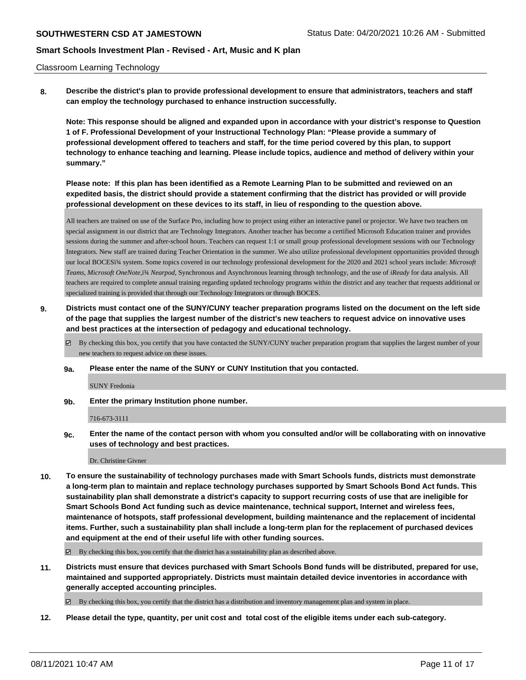#### Classroom Learning Technology

**8. Describe the district's plan to provide professional development to ensure that administrators, teachers and staff can employ the technology purchased to enhance instruction successfully.**

**Note: This response should be aligned and expanded upon in accordance with your district's response to Question 1 of F. Professional Development of your Instructional Technology Plan: "Please provide a summary of professional development offered to teachers and staff, for the time period covered by this plan, to support technology to enhance teaching and learning. Please include topics, audience and method of delivery within your summary."**

**Please note: If this plan has been identified as a Remote Learning Plan to be submitted and reviewed on an expedited basis, the district should provide a statement confirming that the district has provided or will provide professional development on these devices to its staff, in lieu of responding to the question above.**

All teachers are trained on use of the Surface Pro, including how to project using either an interactive panel or projector. We have two teachers on special assignment in our district that are Technology Integrators. Another teacher has become a certified Microsoft Education trainer and provides sessions during the summer and after-school hours. Teachers can request 1:1 or small group professional development sessions with our Technology Integrators. New staff are trained during Teacher Orientation in the summer. We also utilize professional development opportunities provided through our local BOCESï¾ system. Some topics covered in our technology professional development for the 2020 and 2021 school years include: *Microsoft Teams*, *Microsoft OneNote*,ï¾ *Nearpod*, Synchronous and Asynchronous learning through technology, and the use of *iReady* for data analysis. All teachers are required to complete annual training regarding updated technology programs within the district and any teacher that requests additional or specialized training is provided that through our Technology Integrators or through BOCES.

- **9. Districts must contact one of the SUNY/CUNY teacher preparation programs listed on the document on the left side of the page that supplies the largest number of the district's new teachers to request advice on innovative uses and best practices at the intersection of pedagogy and educational technology.**
	- By checking this box, you certify that you have contacted the SUNY/CUNY teacher preparation program that supplies the largest number of your new teachers to request advice on these issues.
	- **9a. Please enter the name of the SUNY or CUNY Institution that you contacted.**

SUNY Fredonia

**9b. Enter the primary Institution phone number.**

716-673-3111

**9c. Enter the name of the contact person with whom you consulted and/or will be collaborating with on innovative uses of technology and best practices.**

Dr. Christine Givner

**10. To ensure the sustainability of technology purchases made with Smart Schools funds, districts must demonstrate a long-term plan to maintain and replace technology purchases supported by Smart Schools Bond Act funds. This sustainability plan shall demonstrate a district's capacity to support recurring costs of use that are ineligible for Smart Schools Bond Act funding such as device maintenance, technical support, Internet and wireless fees, maintenance of hotspots, staff professional development, building maintenance and the replacement of incidental items. Further, such a sustainability plan shall include a long-term plan for the replacement of purchased devices and equipment at the end of their useful life with other funding sources.**

 $\boxtimes$  By checking this box, you certify that the district has a sustainability plan as described above.

**11. Districts must ensure that devices purchased with Smart Schools Bond funds will be distributed, prepared for use, maintained and supported appropriately. Districts must maintain detailed device inventories in accordance with generally accepted accounting principles.**

By checking this box, you certify that the district has a distribution and inventory management plan and system in place.

**12. Please detail the type, quantity, per unit cost and total cost of the eligible items under each sub-category.**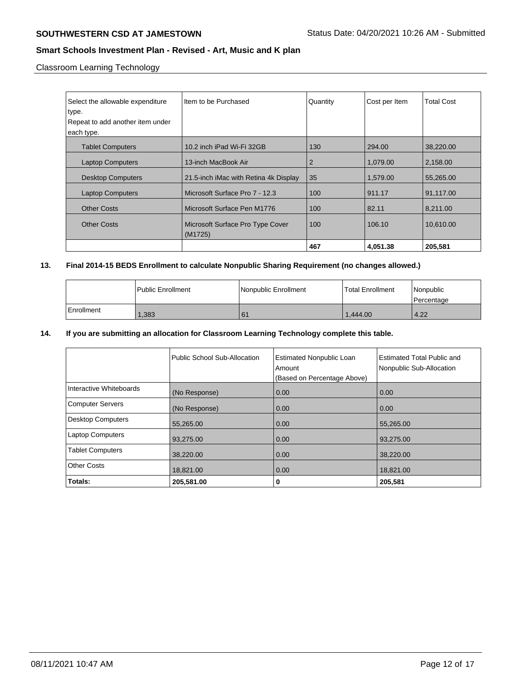Classroom Learning Technology

| Select the allowable expenditure<br>type.<br>Repeat to add another item under<br>each type. | Item to be Purchased                        | Quantity       | Cost per Item | <b>Total Cost</b> |
|---------------------------------------------------------------------------------------------|---------------------------------------------|----------------|---------------|-------------------|
| <b>Tablet Computers</b>                                                                     | 10.2 inch iPad Wi-Fi 32GB                   | 130            | 294.00        | 38,220.00         |
| <b>Laptop Computers</b>                                                                     | 13-inch MacBook Air                         | $\overline{2}$ | 1.079.00      | 2,158.00          |
| <b>Desktop Computers</b>                                                                    | 21.5-inch iMac with Retina 4k Display       | 35             | 1,579.00      | 55,265.00         |
| <b>Laptop Computers</b>                                                                     | Microsoft Surface Pro 7 - 12.3              | 100            | 911.17        | 91,117.00         |
| <b>Other Costs</b>                                                                          | Microsoft Surface Pen M1776                 | 100            | 82.11         | 8,211.00          |
| <b>Other Costs</b>                                                                          | Microsoft Surface Pro Type Cover<br>(M1725) | 100            | 106.10        | 10,610.00         |
|                                                                                             |                                             | 467            | 4.051.38      | 205,581           |

## **13. Final 2014-15 BEDS Enrollment to calculate Nonpublic Sharing Requirement (no changes allowed.)**

|            | Public Enrollment | Nonpublic Enrollment | l Total Enrollment | Nonpublic<br>l Percentage |
|------------|-------------------|----------------------|--------------------|---------------------------|
| Enrollment | 1,383             | 61                   | 1.444.00           | 4.22                      |

#### **14. If you are submitting an allocation for Classroom Learning Technology complete this table.**

|                          | Public School Sub-Allocation | <b>Estimated Nonpublic Loan</b><br>Amount | Estimated Total Public and<br>Nonpublic Sub-Allocation |
|--------------------------|------------------------------|-------------------------------------------|--------------------------------------------------------|
|                          |                              | (Based on Percentage Above)               |                                                        |
| Interactive Whiteboards  | (No Response)                | 0.00                                      | 0.00                                                   |
| <b>Computer Servers</b>  | (No Response)                | 0.00                                      | 0.00                                                   |
| <b>Desktop Computers</b> | 55,265.00                    | 0.00                                      | 55,265.00                                              |
| <b>Laptop Computers</b>  | 93,275.00                    | 0.00                                      | 93,275.00                                              |
| <b>Tablet Computers</b>  | 38,220.00                    | 0.00                                      | 38,220.00                                              |
| <b>Other Costs</b>       | 18,821.00                    | 0.00                                      | 18,821.00                                              |
| Totals:                  | 205,581.00                   | 0                                         | 205,581                                                |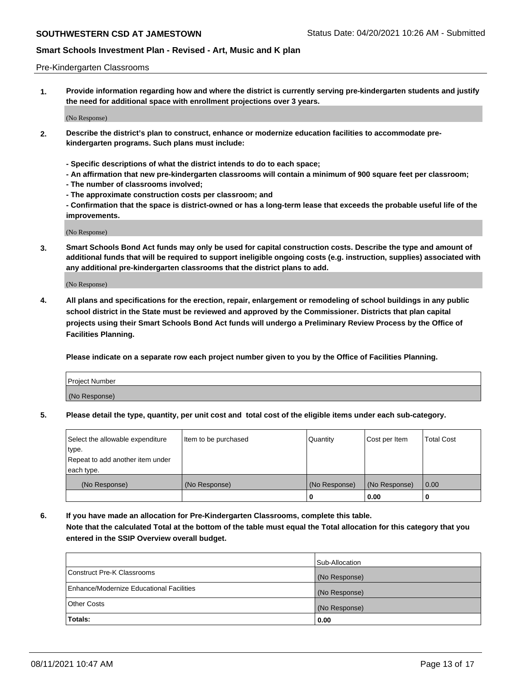#### Pre-Kindergarten Classrooms

**1. Provide information regarding how and where the district is currently serving pre-kindergarten students and justify the need for additional space with enrollment projections over 3 years.**

(No Response)

- **2. Describe the district's plan to construct, enhance or modernize education facilities to accommodate prekindergarten programs. Such plans must include:**
	- **Specific descriptions of what the district intends to do to each space;**
	- **An affirmation that new pre-kindergarten classrooms will contain a minimum of 900 square feet per classroom;**
	- **The number of classrooms involved;**
	- **The approximate construction costs per classroom; and**
	- **Confirmation that the space is district-owned or has a long-term lease that exceeds the probable useful life of the improvements.**

(No Response)

**3. Smart Schools Bond Act funds may only be used for capital construction costs. Describe the type and amount of additional funds that will be required to support ineligible ongoing costs (e.g. instruction, supplies) associated with any additional pre-kindergarten classrooms that the district plans to add.**

(No Response)

**4. All plans and specifications for the erection, repair, enlargement or remodeling of school buildings in any public school district in the State must be reviewed and approved by the Commissioner. Districts that plan capital projects using their Smart Schools Bond Act funds will undergo a Preliminary Review Process by the Office of Facilities Planning.**

**Please indicate on a separate row each project number given to you by the Office of Facilities Planning.**

| Project Number |  |
|----------------|--|
| (No Response)  |  |
|                |  |

**5. Please detail the type, quantity, per unit cost and total cost of the eligible items under each sub-category.**

| Select the allowable expenditure | Item to be purchased | Quantity      | Cost per Item | <b>Total Cost</b> |
|----------------------------------|----------------------|---------------|---------------|-------------------|
| type.                            |                      |               |               |                   |
| Repeat to add another item under |                      |               |               |                   |
| each type.                       |                      |               |               |                   |
| (No Response)                    | (No Response)        | (No Response) | (No Response) | 0.00              |
|                                  |                      | υ             | 0.00          |                   |

**6. If you have made an allocation for Pre-Kindergarten Classrooms, complete this table. Note that the calculated Total at the bottom of the table must equal the Total allocation for this category that you entered in the SSIP Overview overall budget.**

|                                          | Sub-Allocation |
|------------------------------------------|----------------|
| Construct Pre-K Classrooms               | (No Response)  |
| Enhance/Modernize Educational Facilities | (No Response)  |
| <b>Other Costs</b>                       | (No Response)  |
| Totals:                                  | 0.00           |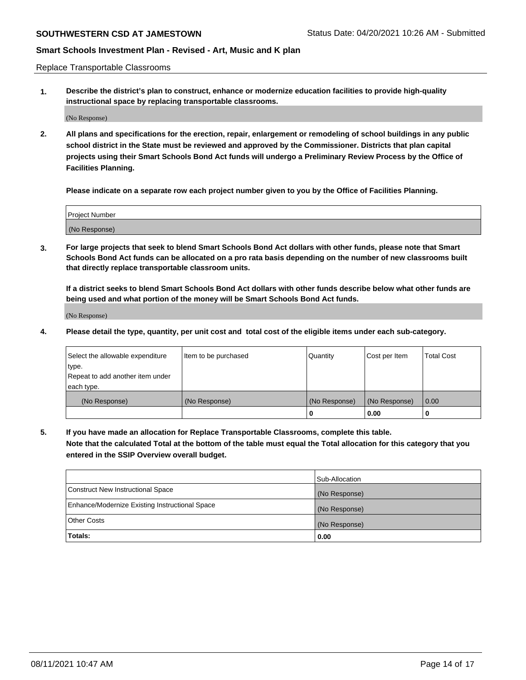Replace Transportable Classrooms

**1. Describe the district's plan to construct, enhance or modernize education facilities to provide high-quality instructional space by replacing transportable classrooms.**

(No Response)

**2. All plans and specifications for the erection, repair, enlargement or remodeling of school buildings in any public school district in the State must be reviewed and approved by the Commissioner. Districts that plan capital projects using their Smart Schools Bond Act funds will undergo a Preliminary Review Process by the Office of Facilities Planning.**

**Please indicate on a separate row each project number given to you by the Office of Facilities Planning.**

| Project Number |  |
|----------------|--|
|                |  |
|                |  |
|                |  |
| (No Response)  |  |
|                |  |
|                |  |

**3. For large projects that seek to blend Smart Schools Bond Act dollars with other funds, please note that Smart Schools Bond Act funds can be allocated on a pro rata basis depending on the number of new classrooms built that directly replace transportable classroom units.**

**If a district seeks to blend Smart Schools Bond Act dollars with other funds describe below what other funds are being used and what portion of the money will be Smart Schools Bond Act funds.**

(No Response)

**4. Please detail the type, quantity, per unit cost and total cost of the eligible items under each sub-category.**

| Select the allowable expenditure | Item to be purchased | Quantity      | Cost per Item | Total Cost |
|----------------------------------|----------------------|---------------|---------------|------------|
| ∣type.                           |                      |               |               |            |
| Repeat to add another item under |                      |               |               |            |
| each type.                       |                      |               |               |            |
| (No Response)                    | (No Response)        | (No Response) | (No Response) | 0.00       |
|                                  |                      | u             | 0.00          |            |

**5. If you have made an allocation for Replace Transportable Classrooms, complete this table. Note that the calculated Total at the bottom of the table must equal the Total allocation for this category that you entered in the SSIP Overview overall budget.**

|                                                | Sub-Allocation |
|------------------------------------------------|----------------|
| Construct New Instructional Space              | (No Response)  |
| Enhance/Modernize Existing Instructional Space | (No Response)  |
| Other Costs                                    | (No Response)  |
| Totals:                                        | 0.00           |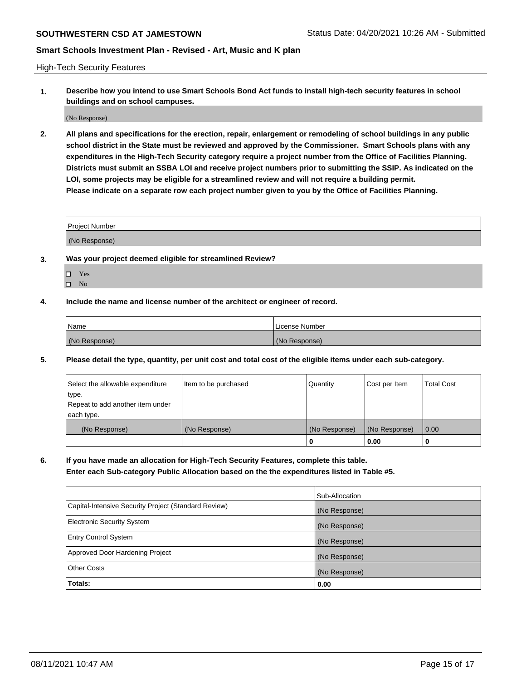High-Tech Security Features

**1. Describe how you intend to use Smart Schools Bond Act funds to install high-tech security features in school buildings and on school campuses.**

(No Response)

**2. All plans and specifications for the erection, repair, enlargement or remodeling of school buildings in any public school district in the State must be reviewed and approved by the Commissioner. Smart Schools plans with any expenditures in the High-Tech Security category require a project number from the Office of Facilities Planning. Districts must submit an SSBA LOI and receive project numbers prior to submitting the SSIP. As indicated on the LOI, some projects may be eligible for a streamlined review and will not require a building permit. Please indicate on a separate row each project number given to you by the Office of Facilities Planning.**

| <b>Project Number</b> |  |
|-----------------------|--|
| (No Response)         |  |

- **3. Was your project deemed eligible for streamlined Review?**
	- Yes
	- $\hfill \Box$  No
- **4. Include the name and license number of the architect or engineer of record.**

| <b>Name</b>   | License Number |
|---------------|----------------|
| (No Response) | (No Response)  |

**5. Please detail the type, quantity, per unit cost and total cost of the eligible items under each sub-category.**

| Select the allowable expenditure | Item to be purchased | Quantity      | Cost per Item | <b>Total Cost</b> |
|----------------------------------|----------------------|---------------|---------------|-------------------|
| ∣type.                           |                      |               |               |                   |
| Repeat to add another item under |                      |               |               |                   |
| each type.                       |                      |               |               |                   |
| (No Response)                    | (No Response)        | (No Response) | (No Response) | 0.00              |
|                                  |                      | 0             | 0.00          |                   |

**6. If you have made an allocation for High-Tech Security Features, complete this table.**

**Enter each Sub-category Public Allocation based on the the expenditures listed in Table #5.**

|                                                      | Sub-Allocation |
|------------------------------------------------------|----------------|
| Capital-Intensive Security Project (Standard Review) | (No Response)  |
| <b>Electronic Security System</b>                    | (No Response)  |
| <b>Entry Control System</b>                          | (No Response)  |
| Approved Door Hardening Project                      | (No Response)  |
| <b>Other Costs</b>                                   | (No Response)  |
| Totals:                                              | 0.00           |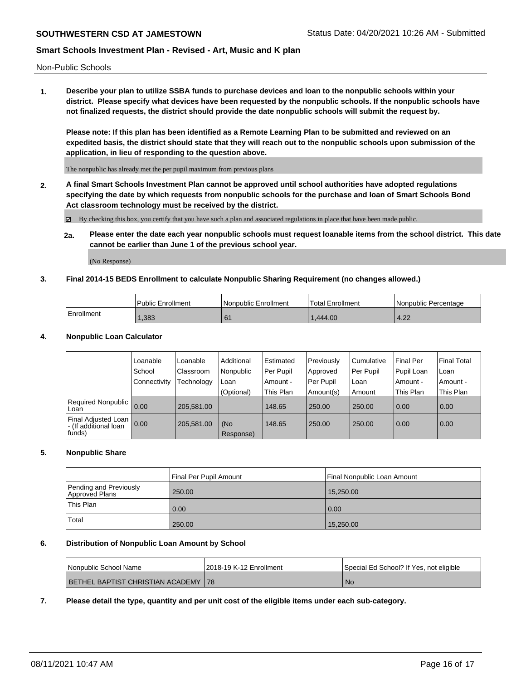Non-Public Schools

**1. Describe your plan to utilize SSBA funds to purchase devices and loan to the nonpublic schools within your district. Please specify what devices have been requested by the nonpublic schools. If the nonpublic schools have not finalized requests, the district should provide the date nonpublic schools will submit the request by.**

**Please note: If this plan has been identified as a Remote Learning Plan to be submitted and reviewed on an expedited basis, the district should state that they will reach out to the nonpublic schools upon submission of the application, in lieu of responding to the question above.**

The nonpublic has already met the per pupil maximum from previous plans

**2. A final Smart Schools Investment Plan cannot be approved until school authorities have adopted regulations specifying the date by which requests from nonpublic schools for the purchase and loan of Smart Schools Bond Act classroom technology must be received by the district.**

By checking this box, you certify that you have such a plan and associated regulations in place that have been made public.

**2a. Please enter the date each year nonpublic schools must request loanable items from the school district. This date cannot be earlier than June 1 of the previous school year.**

(No Response)

#### **3. Final 2014-15 BEDS Enrollment to calculate Nonpublic Sharing Requirement (no changes allowed.)**

|            | Public Enrollment | Nonpublic Enrollment | Total Enrollment | Nonpublic Percentage |
|------------|-------------------|----------------------|------------------|----------------------|
| Enrollment | 1,383             |                      | .444.00          | $12^\circ$<br>4.44   |

#### **4. Nonpublic Loan Calculator**

|                                                        | Loanable       | Loanable   | Additional       | Estimated | Previously | l Cumulative | Final Per  | <b>Final Total</b> |
|--------------------------------------------------------|----------------|------------|------------------|-----------|------------|--------------|------------|--------------------|
|                                                        | School         | Classroom  | Nonpublic        | Per Pupil | Approved   | Per Pupil    | Pupil Loan | Loan               |
|                                                        | l Connectivity | Technology | Loan             | Amount -  | Per Pupil  | l Loan       | Amount -   | Amount -           |
|                                                        |                |            | (Optional)       | This Plan | Amount(s)  | Amount       | This Plan  | This Plan          |
| Required Nonpublic 0.00<br>Loan                        |                | 205.581.00 |                  | 148.65    | 250.00     | 250.00       | 0.00       | 0.00               |
| Final Adjusted Loan<br>- (If additional loan<br>funds) | 0.00           | 205,581.00 | (No<br>Response) | 148.65    | 250.00     | 250.00       | 0.00       | 0.00               |

#### **5. Nonpublic Share**

|                                          | Final Per Pupil Amount | Final Nonpublic Loan Amount |
|------------------------------------------|------------------------|-----------------------------|
| Pending and Previously<br>Approved Plans | 250.00                 | 15,250.00                   |
| This Plan                                | 0.00                   | 0.00                        |
| Total                                    | 250.00                 | 15,250.00                   |

### **6. Distribution of Nonpublic Loan Amount by School**

| l Nonpublic School Name                      | 2018-19 K-12 Enrollment | Special Ed School? If Yes, not eligible |
|----------------------------------------------|-------------------------|-----------------------------------------|
| <b>BETHEL BAPTIST CHRISTIAN ACADEMY   78</b> |                         | <b>No</b>                               |

**7. Please detail the type, quantity and per unit cost of the eligible items under each sub-category.**